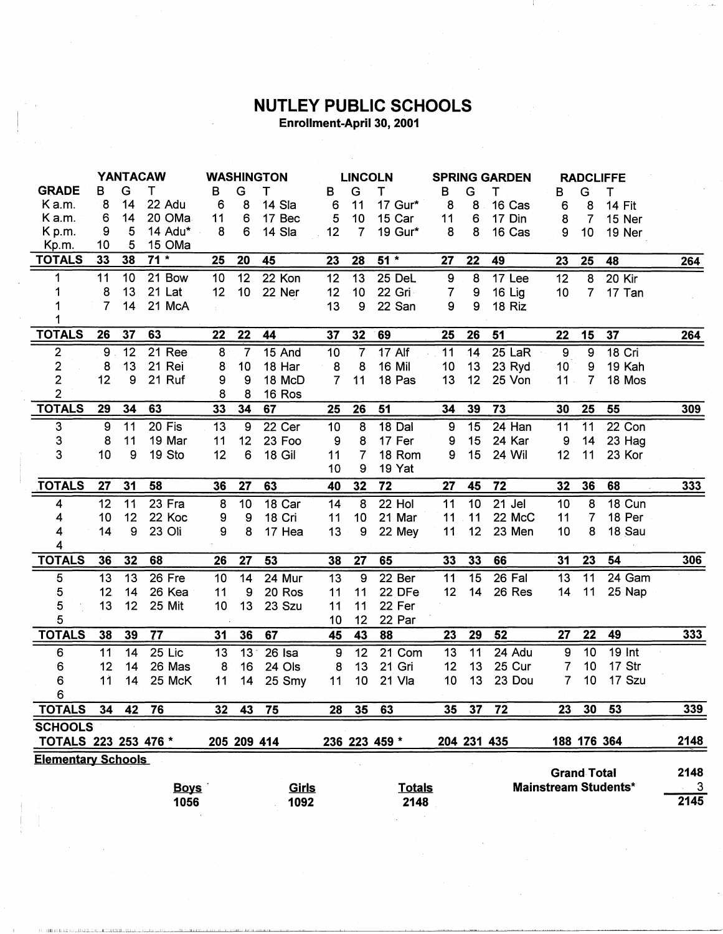## NUTLEY PUBLIC SCHOOLS Enrollment-April 30, 2001

|                           | <b>YANTACAW</b>                                                      |                 |                 |                | <b>WASHINGTON</b> |             |                 | <b>LINCOLN</b>   |               |                | <b>SPRING GARDEN</b> |          |                 | <b>RADCLIFFE</b> |               |            |
|---------------------------|----------------------------------------------------------------------|-----------------|-----------------|----------------|-------------------|-------------|-----------------|------------------|---------------|----------------|----------------------|----------|-----------------|------------------|---------------|------------|
| <b>GRADE</b>              | в                                                                    | G               | т               | в              | G                 | т           | в               | G                | Τ             | в              | G                    | т        | в               | G                | т             |            |
| K a.m.                    | 8                                                                    | 14              | 22 Adu          | 6              | 8                 | 14 Sla      | 6               | 11               | 17 Gur*       | 8              | 8                    | 16 Cas   | 6               | 8                | <b>14 Fit</b> |            |
| K a.m.                    | 6                                                                    | 14              | 20 OMa          | 11             | 6                 | 17 Bec      | 5               | 10               | 15 Car        | 11             | $\bf 6$              | 17 Din   | 8               | $\overline{7}$   | 15 Ner        |            |
| K p.m.                    | 9                                                                    | 5               | 14 Adu*         | 8              | 6                 | 14 Sla      | 12              | $\overline{7}$   | 19 Gur*       | 8              | 8                    | 16 Cas   | 9               | 10               | 19 Ner        |            |
| Kp.m.                     | 10                                                                   | 5               | 15 OMa          |                |                   |             |                 |                  |               |                |                      |          |                 |                  |               |            |
| <b>TOTALS</b>             | 33                                                                   | 38              | $71*$           | 25             | 20                | 45          | 23              | 28               | $51*$         | 27             | 22                   | 49       | 23              | 25               | 48            | 264        |
| 1                         | 11                                                                   | 10 <sub>1</sub> | 21 Bow          | 10             | 12                | 22 Kon      | 12              | 13               | 25 DeL        | 9              | 8                    | 17 Lee   | $\overline{12}$ | $\overline{8}$   | $20$ Kir      |            |
| 1                         | 8                                                                    | 13              | 21 Lat          | 12             | 10                | 22 Ner      | 12              | 10               | 22 Gri        | $\overline{7}$ | 9                    | 16 Lig   | 10              | 7 <sup>1</sup>   | 17 Tan        |            |
| 1                         | 7                                                                    | 14              | 21 McA          |                |                   |             | 13              | 9                | 22 San        | 9              | 9                    | 18 Riz   |                 |                  |               |            |
|                           |                                                                      |                 |                 |                |                   |             |                 |                  |               |                |                      |          |                 |                  |               |            |
| <b>TOTALS</b>             | 26                                                                   | 37              | 63              | 22             | 22                | 44          | 37              | 32               | 69            | 25             | 26                   | 51       | 22              | 15               | 37            | 264        |
| $\overline{\mathbf{c}}$   | 9                                                                    | 12              | 21 Ree          | 8              | 7                 | 15 And      | $\overline{10}$ | $\overline{7}$   | <b>17 Alf</b> | 11             | 14                   | $25$ LaR | $\overline{9}$  | $\overline{9}$   | $18$ Cri      |            |
| $\overline{\mathbf{c}}$   | 8                                                                    | 13              | 21 Rei          | 8              | 10                | 18 Har      | 8               | 8                | <b>16 Mil</b> | 10             | 13                   | 23 Ryd   | 10              | 9                | 19 Kah        |            |
| $\overline{2}$            | 12                                                                   | 9               | 21 Ruf          | 9              | 9                 | 18 McD      | $\overline{7}$  | 11               | 18 Pas        | 13             | 12                   | 25 Von   | 11.             | 7                | 18 Mos        |            |
| $\overline{2}$            |                                                                      |                 |                 | 8              | 8                 | 16 Ros      |                 |                  |               |                |                      |          |                 |                  |               |            |
| <b>TOTALS</b>             | 29                                                                   | 34              | 63              | 33             | 34                | 67          | 25              | 26               | 51            | 34             | 39                   | 73       | 30              | 25               | 55            | 309        |
| 3                         | 9                                                                    | 11              | 20 Fis          | 13             | 9                 | 22 Cer      | 10              | 8                | 18 Dal        | 9              | 15                   | $24$ Han | 11              | 11               | 22 Con        |            |
| 3                         | 8                                                                    | 11              | 19 Mar          | 11             | 12                | 23 Foo      | 9               | 8                | 17 Fer        | 9              | 15                   | 24 Kar   | 9               | 14               | 23 Hag        |            |
| 3                         | 10                                                                   | 9               | 19 Sto          | 12             | 6                 | 18 Gil      | 11              | $\overline{7}$   | 18 Rom        | 9              | 15                   | 24 Wil   | 12              | 11               | 23 Kor        |            |
|                           |                                                                      |                 |                 |                |                   |             | 10              | 9                | 19 Yat        |                |                      |          |                 |                  |               |            |
| <b>TOTALS</b>             | 27                                                                   | 31              | 58              | 36             | 27                | 63          | 40              | 32               | 72            | 27             | 45                   | 72       | 32              | 36               | 68            | $333$      |
| 4                         | 12                                                                   | 11              | 23 Fra          | $\overline{8}$ | 10                | 18 Car      | 14              | 8                | 22 Hol        | 11             | 10                   | $21$ Jel | 10              | 8                | 18 Cun        |            |
| 4                         | 10                                                                   | 12              | 22 Koc          | 9              | 9                 | 18 Cri      | 11              | 10               | 21 Mar        | 11             | 11                   | 22 McC   | 11              | 7                | 18 Per        |            |
| 4                         | 14                                                                   | 9               | 23 Oli          | 9              | 8                 | 17 Hea      | 13              | $\boldsymbol{9}$ | 22 Mey        | 11             | 12                   | 23 Men   | 10              | 8                | 18 Sau        |            |
| 4                         |                                                                      |                 |                 |                |                   |             |                 |                  |               |                |                      |          |                 |                  |               |            |
| <b>TOTALS</b>             | 36                                                                   | 32              | 68              | 26             | 27                | 53          | 38              | 27               | 65            | 33             | 33                   | 66       | 31              | 23               | 54            | 306        |
| 5                         | 13                                                                   | 13              | 26 Fre          | 10             | 14                | 24 Mur      | 13              | $\overline{9}$   | 22 Ber        | 11             | 15                   | 26 Fal   | 13              | $\overline{11}$  | 24 Gam        |            |
| 5                         | 12                                                                   | 14              | 26 Kea          | 11             | 9                 | 20 Ros      | 11              | 11               | 22 DFe        | 12             | 14                   | 26 Res   | 14              | 11               | 25 Nap        |            |
| 5                         | 13                                                                   | 12              | 25 Mit          | 10             | 13                | 23 Szu      | 11              | 11               | 22 Fer        |                |                      |          |                 |                  |               |            |
| 5                         |                                                                      |                 |                 |                |                   |             | 10              | 12               | 22 Par        |                |                      |          |                 |                  |               |            |
| <b>TOTALS</b>             | 38                                                                   | 39              | $\overline{77}$ | 31             | 36                | 67          | 45              | 43               | 88            | 23             | 29                   | 52       | 27              | 22               | 49            | <b>333</b> |
| 6                         | 11                                                                   | 14              | $25$ Lic        | 13             | 13                | $26$ Isa    | 9               | 12               | 21 Com        | 13             | 11                   | 24 Adu   | 9               | 10               | <b>19 Int</b> |            |
| 6                         | 12                                                                   | 14              | 26 Mas          | 8              | 16                | 24 Ols      | 8               | 13               | 21 Gri        | 12             | 13                   | 25 Cur   | 7               | 10               | 17 Str        |            |
| 6                         | 11                                                                   | 14              | 25 McK          | 11             | 14                | 25 Smy      | 11              | 10 <sub>1</sub>  | 21 Vla        | 10             | 13                   | 23 Dou   | $\overline{7}$  | 10               | 17 Szu        |            |
| 6                         |                                                                      |                 |                 |                |                   |             |                 |                  |               |                |                      |          |                 |                  |               |            |
| <b>TOTALS</b>             | 34                                                                   | 42              | 76              | 32             | 43                | 75          | 28              | 35               | 63            | 35             | 37                   | 72       | 23              | 30               | 53            | 339        |
| <b>SCHOOLS</b>            |                                                                      |                 |                 |                |                   |             |                 |                  |               |                |                      |          |                 |                  |               |            |
| TOTALS 223 253 476 *      |                                                                      |                 |                 |                |                   | 205 209 414 |                 |                  | 236 223 459 * |                | 204 231 435          |          |                 |                  | 188 176 364   | 2148       |
| <b>Elementary Schools</b> |                                                                      |                 |                 |                |                   |             |                 |                  |               |                |                      |          |                 |                  |               |            |
|                           | <b>Grand Total</b>                                                   |                 |                 |                |                   |             |                 |                  |               |                |                      | 2148     |                 |                  |               |            |
|                           | <b>Mainstream Students*</b><br><b>Totals</b><br><b>Boys</b><br>Girls |                 |                 |                |                   |             |                 |                  |               | $\mathbf{3}$   |                      |          |                 |                  |               |            |
|                           |                                                                      |                 | 1056            |                |                   | 1092        |                 |                  | 2148          |                |                      |          |                 |                  |               | 2145       |